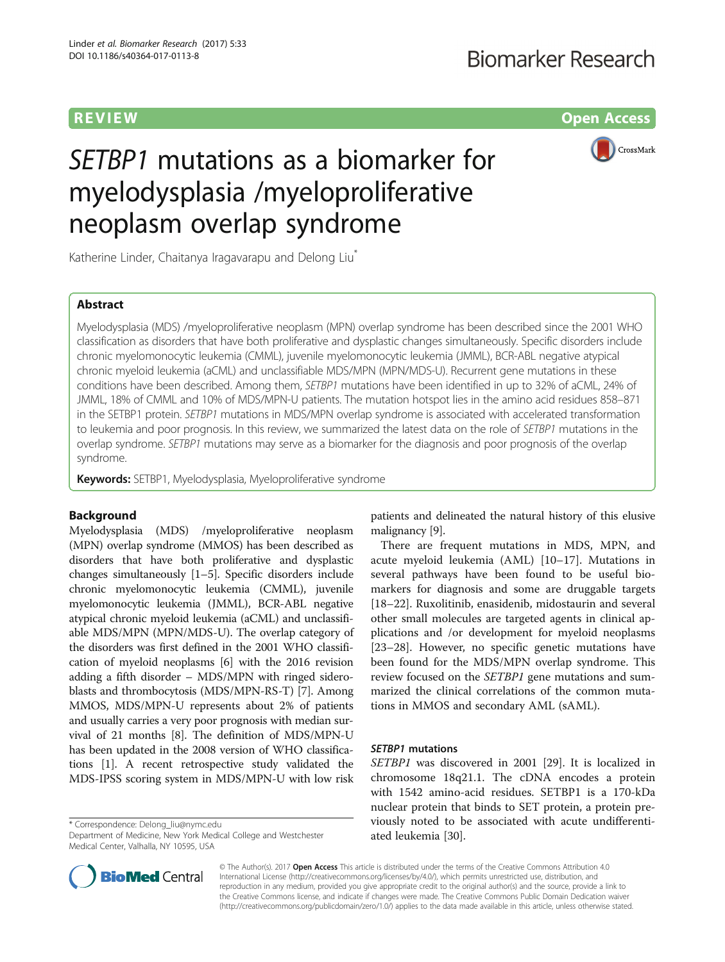**REVIEW CONSIDERING CONSIDERING CONSIDERING CONSIDERING CONSIDERING CONSIDERING CONSIDERING CONSIDERING CONSIDERING CONSIDERING CONSIDERING CONSIDERING CONSIDERING CONSIDERING CONSIDERING CONSIDERING CONSIDERING CONSIDER** 



# SETBP1 mutations as a biomarker for myelodysplasia /myeloproliferative neoplasm overlap syndrome

Katherine Linder, Chaitanya Iragavarapu and Delong Liu<sup>\*</sup>

# Abstract

Myelodysplasia (MDS) /myeloproliferative neoplasm (MPN) overlap syndrome has been described since the 2001 WHO classification as disorders that have both proliferative and dysplastic changes simultaneously. Specific disorders include chronic myelomonocytic leukemia (CMML), juvenile myelomonocytic leukemia (JMML), BCR-ABL negative atypical chronic myeloid leukemia (aCML) and unclassifiable MDS/MPN (MPN/MDS-U). Recurrent gene mutations in these conditions have been described. Among them, SETBP1 mutations have been identified in up to 32% of aCML, 24% of JMML, 18% of CMML and 10% of MDS/MPN-U patients. The mutation hotspot lies in the amino acid residues 858–871 in the SETBP1 protein. SETBP1 mutations in MDS/MPN overlap syndrome is associated with accelerated transformation to leukemia and poor prognosis. In this review, we summarized the latest data on the role of SETBP1 mutations in the overlap syndrome. SETBP1 mutations may serve as a biomarker for the diagnosis and poor prognosis of the overlap syndrome.

Keywords: SETBP1, Myelodysplasia, Myeloproliferative syndrome

#### Background

Myelodysplasia (MDS) /myeloproliferative neoplasm (MPN) overlap syndrome (MMOS) has been described as disorders that have both proliferative and dysplastic changes simultaneously [\[1](#page-2-0)–[5\]](#page-2-0). Specific disorders include chronic myelomonocytic leukemia (CMML), juvenile myelomonocytic leukemia (JMML), BCR-ABL negative atypical chronic myeloid leukemia (aCML) and unclassifiable MDS/MPN (MPN/MDS-U). The overlap category of the disorders was first defined in the 2001 WHO classification of myeloid neoplasms [[6\]](#page-2-0) with the 2016 revision adding a fifth disorder – MDS/MPN with ringed sideroblasts and thrombocytosis (MDS/MPN-RS-T) [[7](#page-2-0)]. Among MMOS, MDS/MPN-U represents about 2% of patients and usually carries a very poor prognosis with median survival of 21 months [[8](#page-3-0)]. The definition of MDS/MPN-U has been updated in the 2008 version of WHO classifications [\[1](#page-2-0)]. A recent retrospective study validated the MDS-IPSS scoring system in MDS/MPN-U with low risk

\* Correspondence: [Delong\\_liu@nymc.edu](mailto:Delong_liu@nymc.edu)

Department of Medicine, New York Medical College and Westchester Medical Center, Valhalla, NY 10595, USA

patients and delineated the natural history of this elusive malignancy [\[9\]](#page-3-0).

There are frequent mutations in MDS, MPN, and acute myeloid leukemia (AML) [\[10](#page-3-0)–[17\]](#page-3-0). Mutations in several pathways have been found to be useful biomarkers for diagnosis and some are druggable targets [[18](#page-3-0)–[22](#page-3-0)]. Ruxolitinib, enasidenib, midostaurin and several other small molecules are targeted agents in clinical applications and /or development for myeloid neoplasms [[23](#page-3-0)–[28](#page-3-0)]. However, no specific genetic mutations have been found for the MDS/MPN overlap syndrome. This review focused on the SETBP1 gene mutations and summarized the clinical correlations of the common mutations in MMOS and secondary AML (sAML).

#### SETBP1 mutations

SETBP1 was discovered in 2001 [\[29](#page-3-0)]. It is localized in chromosome 18q21.1. The cDNA encodes a protein with 1542 amino-acid residues. SETBP1 is a 170-kDa nuclear protein that binds to SET protein, a protein previously noted to be associated with acute undifferentiated leukemia [[30](#page-3-0)].



© The Author(s). 2017 **Open Access** This article is distributed under the terms of the Creative Commons Attribution 4.0 International License [\(http://creativecommons.org/licenses/by/4.0/](http://creativecommons.org/licenses/by/4.0/)), which permits unrestricted use, distribution, and reproduction in any medium, provided you give appropriate credit to the original author(s) and the source, provide a link to the Creative Commons license, and indicate if changes were made. The Creative Commons Public Domain Dedication waiver [\(http://creativecommons.org/publicdomain/zero/1.0/](http://creativecommons.org/publicdomain/zero/1.0/)) applies to the data made available in this article, unless otherwise stated.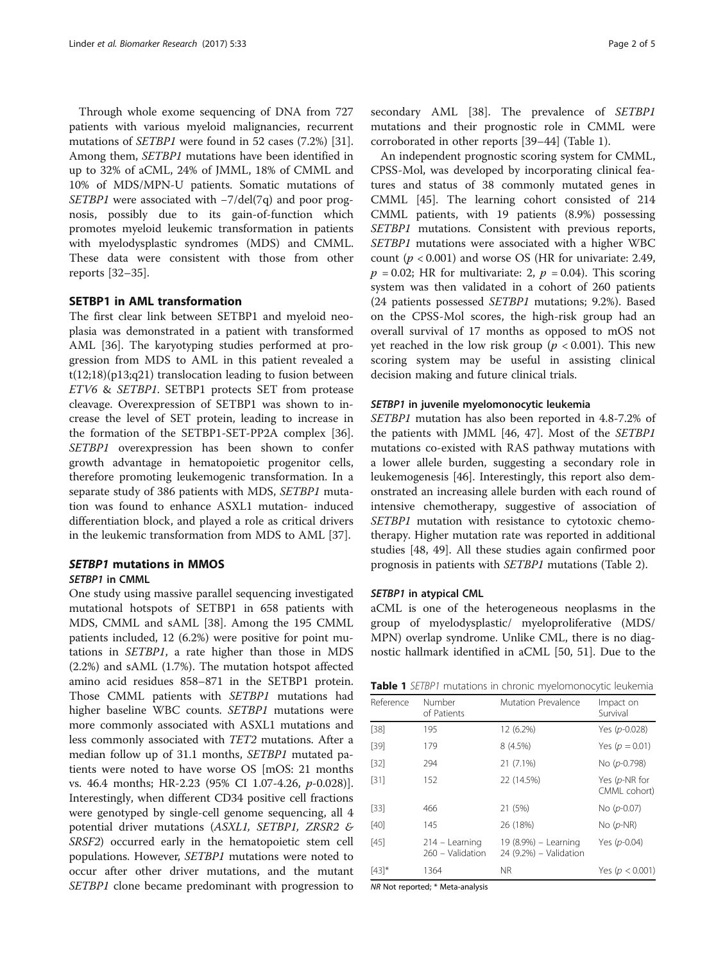Through whole exome sequencing of DNA from 727 patients with various myeloid malignancies, recurrent mutations of SETBP1 were found in 52 cases (7.2%) [\[31](#page-3-0)]. Among them, SETBP1 mutations have been identified in up to 32% of aCML, 24% of JMML, 18% of CMML and 10% of MDS/MPN-U patients. Somatic mutations of SETBP1 were associated with -7/del(7q) and poor prognosis, possibly due to its gain-of-function which promotes myeloid leukemic transformation in patients with myelodysplastic syndromes (MDS) and CMML. These data were consistent with those from other reports [[32](#page-3-0)–[35\]](#page-3-0).

### SETBP1 in AML transformation

The first clear link between SETBP1 and myeloid neoplasia was demonstrated in a patient with transformed AML [\[36](#page-3-0)]. The karyotyping studies performed at progression from MDS to AML in this patient revealed a  $t(12;18)(p13;q21)$  translocation leading to fusion between ETV6 & SETBP1. SETBP1 protects SET from protease cleavage. Overexpression of SETBP1 was shown to increase the level of SET protein, leading to increase in the formation of the SETBP1-SET-PP2A complex [\[36](#page-3-0)]. SETBP1 overexpression has been shown to confer growth advantage in hematopoietic progenitor cells, therefore promoting leukemogenic transformation. In a separate study of 386 patients with MDS, SETBP1 mutation was found to enhance ASXL1 mutation- induced differentiation block, and played a role as critical drivers in the leukemic transformation from MDS to AML [\[37\]](#page-3-0).

# SETBP1 mutations in MMOS

#### SETBP1 in CMML

One study using massive parallel sequencing investigated mutational hotspots of SETBP1 in 658 patients with MDS, CMML and sAML [[38\]](#page-3-0). Among the 195 CMML patients included, 12 (6.2%) were positive for point mutations in SETBP1, a rate higher than those in MDS (2.2%) and sAML (1.7%). The mutation hotspot affected amino acid residues 858–871 in the SETBP1 protein. Those CMML patients with SETBP1 mutations had higher baseline WBC counts. SETBP1 mutations were more commonly associated with ASXL1 mutations and less commonly associated with TET2 mutations. After a median follow up of 31.1 months, SETBP1 mutated patients were noted to have worse OS [mOS: 21 months vs. 46.4 months; HR-2.23 (95% CI 1.07-4.26, p-0.028)]. Interestingly, when different CD34 positive cell fractions were genotyped by single-cell genome sequencing, all 4 potential driver mutations (ASXL1, SETBP1, ZRSR2 & SRSF2) occurred early in the hematopoietic stem cell populations. However, SETBP1 mutations were noted to occur after other driver mutations, and the mutant SETBP1 clone became predominant with progression to secondary AML [[38\]](#page-3-0). The prevalence of SETBP1 mutations and their prognostic role in CMML were corroborated in other reports [[39](#page-3-0)–[44](#page-4-0)] (Table 1).

An independent prognostic scoring system for CMML, CPSS-Mol, was developed by incorporating clinical features and status of 38 commonly mutated genes in CMML [\[45\]](#page-4-0). The learning cohort consisted of 214 CMML patients, with 19 patients (8.9%) possessing SETBP1 mutations. Consistent with previous reports, SETBP1 mutations were associated with a higher WBC count ( $p < 0.001$ ) and worse OS (HR for univariate: 2.49,  $p = 0.02$ ; HR for multivariate: 2,  $p = 0.04$ ). This scoring system was then validated in a cohort of 260 patients (24 patients possessed SETBP1 mutations; 9.2%). Based on the CPSS-Mol scores, the high-risk group had an overall survival of 17 months as opposed to mOS not yet reached in the low risk group ( $p < 0.001$ ). This new scoring system may be useful in assisting clinical decision making and future clinical trials.

#### SETBP1 in juvenile myelomonocytic leukemia

SETBP1 mutation has also been reported in 4.8-7.2% of the patients with JMML [[46, 47](#page-4-0)]. Most of the SETBP1 mutations co-existed with RAS pathway mutations with a lower allele burden, suggesting a secondary role in leukemogenesis [\[46](#page-4-0)]. Interestingly, this report also demonstrated an increasing allele burden with each round of intensive chemotherapy, suggestive of association of SETBP1 mutation with resistance to cytotoxic chemotherapy. Higher mutation rate was reported in additional studies [\[48, 49\]](#page-4-0). All these studies again confirmed poor prognosis in patients with SETBP1 mutations (Table [2](#page-2-0)).

#### SETBP1 in atypical CML

aCML is one of the heterogeneous neoplasms in the group of myelodysplastic/ myeloproliferative (MDS/ MPN) overlap syndrome. Unlike CML, there is no diagnostic hallmark identified in aCML [[50, 51](#page-4-0)]. Due to the

|  |  |  |  | Table 1 SETBP1 mutations in chronic myelomonocytic leukemia |  |
|--|--|--|--|-------------------------------------------------------------|--|
|--|--|--|--|-------------------------------------------------------------|--|

| Reference | Number<br>of Patients              | Mutation Prevalence                            | Impact on<br>Survival         |
|-----------|------------------------------------|------------------------------------------------|-------------------------------|
| $[38]$    | 195                                | 12 (6.2%)                                      | Yes (p-0.028)                 |
| $[39]$    | 179                                | 8 (4.5%)                                       | Yes ( $p = 0.01$ )            |
| $[32]$    | 294                                | 21 (7.1%)                                      | No (p-0.798)                  |
| $[31]$    | 152                                | 22 (14.5%)                                     | Yes (p-NR for<br>CMML cohort) |
| [33]      | 466                                | 21 (5%)                                        | No (p-0.07)                   |
| [40]      | 145                                | 26 (18%)                                       | $No$ ( $p$ -NR)               |
| $[45]$    | 214 - Learning<br>260 - Validation | 19 (8.9%) - Learning<br>24 (9.2%) - Validation | Yes (p-0.04)                  |
| $[43]$ *  | 1364                               | ΝR                                             | Yes ( $p < 0.001$ )           |

NR Not reported; \* Meta-analysis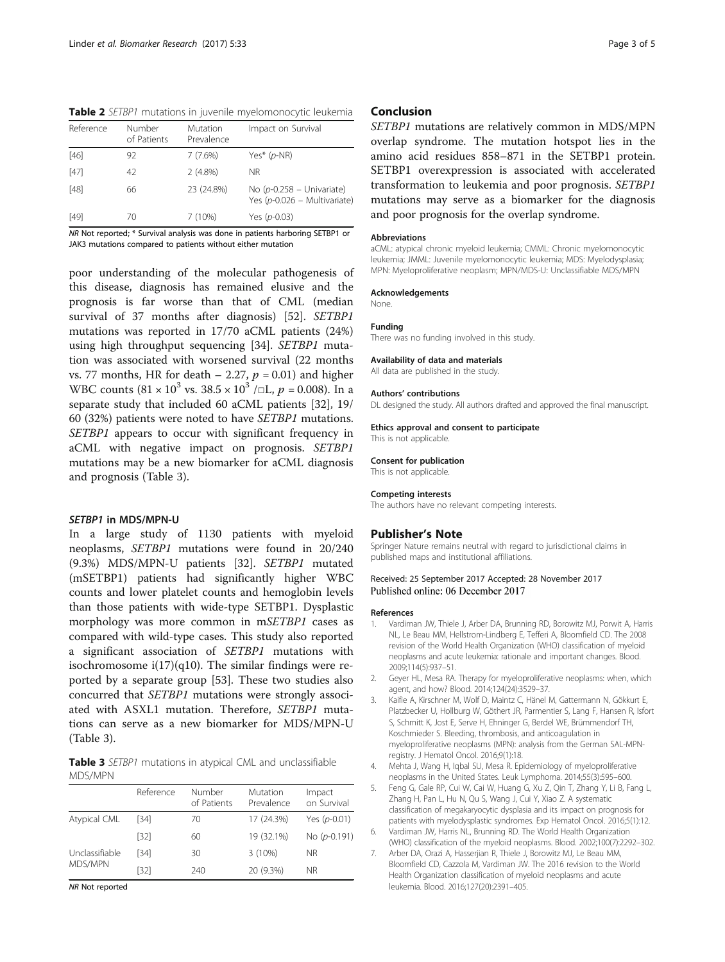<span id="page-2-0"></span>Table 2 SETBP1 mutations in juvenile myelomonocytic leukemia

| Reference | Number<br>of Patients | Mutation<br>Prevalence | Impact on Survival                                              |  |
|-----------|-----------------------|------------------------|-----------------------------------------------------------------|--|
| $[46]$    | 92                    | 7(7.6%)                | Yes* $(p-NR)$                                                   |  |
| [47]      | 42                    | $2(4.8\%)$             | ΝR                                                              |  |
| [48]      | 66                    | 23 (24.8%)             | No $(p-0.258 - Univariate)$<br>Yes ( $p$ -0.026 - Multivariate) |  |
| $[49]$    | 70                    | 7(10%)                 | Yes $(p-0.03)$                                                  |  |

NR Not reported; \* Survival analysis was done in patients harboring SETBP1 or JAK3 mutations compared to patients without either mutation

poor understanding of the molecular pathogenesis of this disease, diagnosis has remained elusive and the prognosis is far worse than that of CML (median survival of 37 months after diagnosis) [\[52](#page-4-0)]. SETBP1 mutations was reported in 17/70 aCML patients (24%) using high throughput sequencing [\[34\]](#page-3-0). SETBP1 mutation was associated with worsened survival (22 months vs. 77 months, HR for death  $-2.27$ ,  $p = 0.01$ ) and higher WBC counts  $(81 \times 10^3 \text{ vs. } 38.5 \times 10^3 \text{ /} \square \text{ L}, p = 0.008)$ . In a separate study that included 60 aCML patients [[32](#page-3-0)], 19/ 60 (32%) patients were noted to have SETBP1 mutations. SETBP1 appears to occur with significant frequency in aCML with negative impact on prognosis. SETBP1 mutations may be a new biomarker for aCML diagnosis and prognosis (Table 3).

#### SETBP1 in MDS/MPN-U

In a large study of 1130 patients with myeloid neoplasms, SETBP1 mutations were found in 20/240 (9.3%) MDS/MPN-U patients [\[32\]](#page-3-0). SETBP1 mutated (mSETBP1) patients had significantly higher WBC counts and lower platelet counts and hemoglobin levels than those patients with wide-type SETBP1. Dysplastic morphology was more common in mSETBP1 cases as compared with wild-type cases. This study also reported a significant association of SETBP1 mutations with isochromosome  $i(17)(q10)$ . The similar findings were reported by a separate group [[53\]](#page-4-0). These two studies also concurred that SETBP1 mutations were strongly associated with ASXL1 mutation. Therefore, SETBP1 mutations can serve as a new biomarker for MDS/MPN-U (Table 3).

Table 3 SETBP1 mutations in atypical CML and unclassifiable MDS/MPN

|                | Reference | Number<br>of Patients | Mutation<br>Prevalence | Impact<br>on Survival |
|----------------|-----------|-----------------------|------------------------|-----------------------|
| Atypical CML   | [34]      | 70                    | 17 (24.3%)             | Yes $(p-0.01)$        |
|                | [32]      | 60                    | 19 (32.1%)             | No $(p-0.191)$        |
| Unclassifiable | [34]      | 30                    | 3(10%)                 | NR.                   |
| MDS/MPN        | [32]      | 240                   | 20 (9.3%)              | ΝR                    |

NR Not reported

#### Conclusion

SETBP1 mutations are relatively common in MDS/MPN overlap syndrome. The mutation hotspot lies in the amino acid residues 858–871 in the SETBP1 protein. SETBP1 overexpression is associated with accelerated transformation to leukemia and poor prognosis. SETBP1 mutations may serve as a biomarker for the diagnosis and poor prognosis for the overlap syndrome.

#### Abbreviations

aCML: atypical chronic myeloid leukemia; CMML: Chronic myelomonocytic leukemia; JMML: Juvenile myelomonocytic leukemia; MDS: Myelodysplasia; MPN: Myeloproliferative neoplasm; MPN/MDS-U: Unclassifiable MDS/MPN

#### Acknowledgements

None.

#### Funding

There was no funding involved in this study.

# Availability of data and materials

All data are published in the study.

#### Authors' contributions

DL designed the study. All authors drafted and approved the final manuscript.

#### Ethics approval and consent to participate

This is not applicable.

## Consent for publication

This is not applicable.

#### Competing interests

The authors have no relevant competing interests.

#### Publisher's Note

Springer Nature remains neutral with regard to jurisdictional claims in published maps and institutional affiliations.

#### Received: 25 September 2017 Accepted: 28 November 2017 Published online: 06 December 2017

#### References

- 1. Vardiman JW, Thiele J, Arber DA, Brunning RD, Borowitz MJ, Porwit A, Harris NL, Le Beau MM, Hellstrom-Lindberg E, Tefferi A, Bloomfield CD. The 2008 revision of the World Health Organization (WHO) classification of myeloid neoplasms and acute leukemia: rationale and important changes. Blood. 2009;114(5):937–51.
- 2. Geyer HL, Mesa RA. Therapy for myeloproliferative neoplasms: when, which agent, and how? Blood. 2014;124(24):3529–37.
- 3. Kaifie A, Kirschner M, Wolf D, Maintz C, Hänel M, Gattermann N, Gökkurt E, Platzbecker U, Hollburg W, Göthert JR, Parmentier S, Lang F, Hansen R, Isfort S, Schmitt K, Jost E, Serve H, Ehninger G, Berdel WE, Brümmendorf TH, Koschmieder S. Bleeding, thrombosis, and anticoagulation in myeloproliferative neoplasms (MPN): analysis from the German SAL-MPNregistry. J Hematol Oncol. 2016;9(1):18.
- 4. Mehta J, Wang H, Iqbal SU, Mesa R. Epidemiology of myeloproliferative neoplasms in the United States. Leuk Lymphoma. 2014;55(3):595–600.
- 5. Feng G, Gale RP, Cui W, Cai W, Huang G, Xu Z, Qin T, Zhang Y, Li B, Fang L, Zhang H, Pan L, Hu N, Qu S, Wang J, Cui Y, Xiao Z. A systematic classification of megakaryocytic dysplasia and its impact on prognosis for patients with myelodysplastic syndromes. Exp Hematol Oncol. 2016;5(1):12. 6. Vardiman JW, Harris NL, Brunning RD. The World Health Organization
- (WHO) classification of the myeloid neoplasms. Blood. 2002;100(7):2292–302.
- 7. Arber DA, Orazi A, Hasserjian R, Thiele J, Borowitz MJ, Le Beau MM, Bloomfield CD, Cazzola M, Vardiman JW. The 2016 revision to the World Health Organization classification of myeloid neoplasms and acute leukemia. Blood. 2016;127(20):2391–405.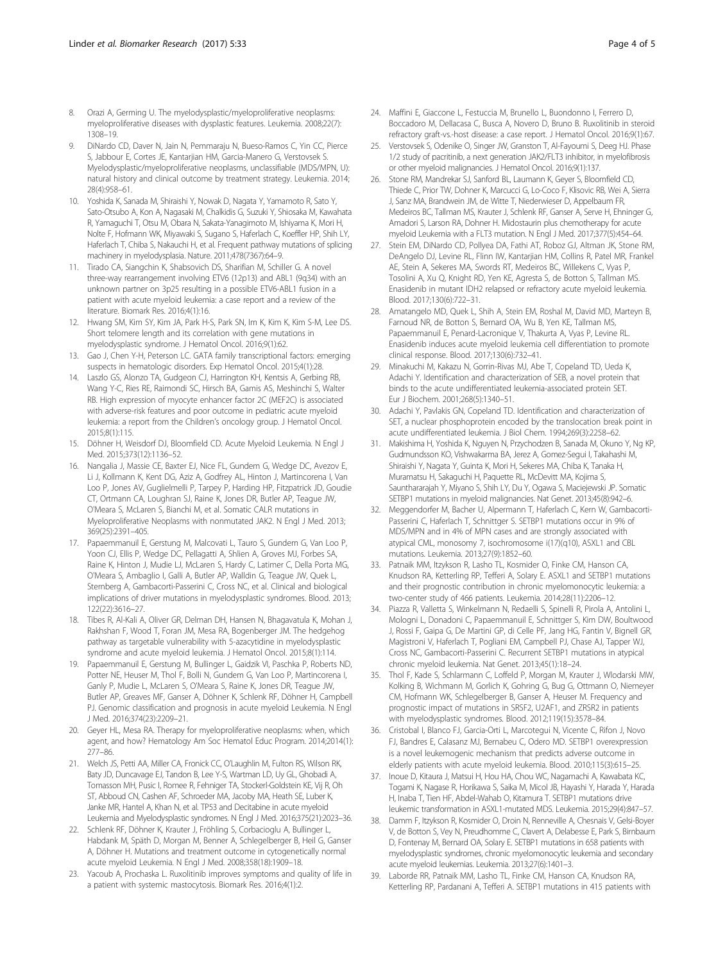- <span id="page-3-0"></span>8. Orazi A, Germing U. The myelodysplastic/myeloproliferative neoplasms: myeloproliferative diseases with dysplastic features. Leukemia. 2008;22(7): 1308–19.
- DiNardo CD, Daver N, Jain N, Pemmaraju N, Bueso-Ramos C, Yin CC, Pierce S, Jabbour E, Cortes JE, Kantarjian HM, Garcia-Manero G, Verstovsek S. Myelodysplastic/myeloproliferative neoplasms, unclassifiable (MDS/MPN, U): natural history and clinical outcome by treatment strategy. Leukemia. 2014; 28(4):958–61.
- 10. Yoshida K, Sanada M, Shiraishi Y, Nowak D, Nagata Y, Yamamoto R, Sato Y, Sato-Otsubo A, Kon A, Nagasaki M, Chalkidis G, Suzuki Y, Shiosaka M, Kawahata R, Yamaguchi T, Otsu M, Obara N, Sakata-Yanagimoto M, Ishiyama K, Mori H, Nolte F, Hofmann WK, Miyawaki S, Sugano S, Haferlach C, Koeffler HP, Shih LY, Haferlach T, Chiba S, Nakauchi H, et al. Frequent pathway mutations of splicing machinery in myelodysplasia. Nature. 2011;478(7367):64–9.
- 11. Tirado CA, Siangchin K, Shabsovich DS, Sharifian M, Schiller G. A novel three-way rearrangement involving ETV6 (12p13) and ABL1 (9q34) with an unknown partner on 3p25 resulting in a possible ETV6-ABL1 fusion in a patient with acute myeloid leukemia: a case report and a review of the literature. Biomark Res. 2016;4(1):16.
- 12. Hwang SM, Kim SY, Kim JA, Park H-S, Park SN, Im K, Kim K, Kim S-M, Lee DS. Short telomere length and its correlation with gene mutations in myelodysplastic syndrome. J Hematol Oncol. 2016;9(1):62.
- 13. Gao J, Chen Y-H, Peterson LC. GATA family transcriptional factors: emerging suspects in hematologic disorders. Exp Hematol Oncol. 2015;4(1):28.
- 14. Laszlo GS, Alonzo TA, Gudgeon CJ, Harrington KH, Kentsis A, Gerbing RB, Wang Y-C, Ries RE, Raimondi SC, Hirsch BA, Gamis AS, Meshinchi S, Walter RB. High expression of myocyte enhancer factor 2C (MEF2C) is associated with adverse-risk features and poor outcome in pediatric acute myeloid leukemia: a report from the Children's oncology group. J Hematol Oncol. 2015;8(1):115.
- 15. Döhner H, Weisdorf DJ, Bloomfield CD. Acute Myeloid Leukemia. N Engl J Med. 2015;373(12):1136–52.
- 16. Nangalia J, Massie CE, Baxter EJ, Nice FL, Gundem G, Wedge DC, Avezov E, Li J, Kollmann K, Kent DG, Aziz A, Godfrey AL, Hinton J, Martincorena I, Van Loo P, Jones AV, Guglielmelli P, Tarpey P, Harding HP, Fitzpatrick JD, Goudie CT, Ortmann CA, Loughran SJ, Raine K, Jones DR, Butler AP, Teague JW, O'Meara S, McLaren S, Bianchi M, et al. Somatic CALR mutations in Myeloproliferative Neoplasms with nonmutated JAK2. N Engl J Med. 2013; 369(25):2391–405.
- 17. Papaemmanuil E, Gerstung M, Malcovati L, Tauro S, Gundem G, Van Loo P, Yoon CJ, Ellis P, Wedge DC, Pellagatti A, Shlien A, Groves MJ, Forbes SA, Raine K, Hinton J, Mudie LJ, McLaren S, Hardy C, Latimer C, Della Porta MG, O'Meara S, Ambaglio I, Galli A, Butler AP, Walldin G, Teague JW, Quek L, Sternberg A, Gambacorti-Passerini C, Cross NC, et al. Clinical and biological implications of driver mutations in myelodysplastic syndromes. Blood. 2013; 122(22):3616–27.
- 18. Tibes R, Al-Kali A, Oliver GR, Delman DH, Hansen N, Bhagavatula K, Mohan J, Rakhshan F, Wood T, Foran JM, Mesa RA, Bogenberger JM. The hedgehog pathway as targetable vulnerability with 5-azacytidine in myelodysplastic syndrome and acute myeloid leukemia. J Hematol Oncol. 2015;8(1):114.
- 19. Papaemmanuil E, Gerstung M, Bullinger L, Gaidzik VI, Paschka P, Roberts ND, Potter NE, Heuser M, Thol F, Bolli N, Gundem G, Van Loo P, Martincorena I, Ganly P, Mudie L, McLaren S, O'Meara S, Raine K, Jones DR, Teague JW, Butler AP, Greaves MF, Ganser A, Döhner K, Schlenk RF, Döhner H, Campbell PJ. Genomic classification and prognosis in acute myeloid Leukemia. N Engl J Med. 2016;374(23):2209–21.
- 20. Geyer HL, Mesa RA. Therapy for myeloproliferative neoplasms: when, which agent, and how? Hematology Am Soc Hematol Educ Program. 2014;2014(1): 277–86.
- 21. Welch JS, Petti AA, Miller CA, Fronick CC, O'Laughlin M, Fulton RS, Wilson RK, Baty JD, Duncavage EJ, Tandon B, Lee Y-S, Wartman LD, Uy GL, Ghobadi A, Tomasson MH, Pusic I, Romee R, Fehniger TA, Stockerl-Goldstein KE, Vij R, Oh ST, Abboud CN, Cashen AF, Schroeder MA, Jacoby MA, Heath SE, Luber K, Janke MR, Hantel A, Khan N, et al. TP53 and Decitabine in acute myeloid Leukemia and Myelodysplastic syndromes. N Engl J Med. 2016;375(21):2023–36.
- 22. Schlenk RF, Döhner K, Krauter J, Fröhling S, Corbacioglu A, Bullinger L, Habdank M, Späth D, Morgan M, Benner A, Schlegelberger B, Heil G, Ganser A, Döhner H. Mutations and treatment outcome in cytogenetically normal acute myeloid Leukemia. N Engl J Med. 2008;358(18):1909–18.
- 23. Yacoub A, Prochaska L. Ruxolitinib improves symptoms and quality of life in a patient with systemic mastocytosis. Biomark Res. 2016;4(1):2.
- 24. Maffini E, Giaccone L, Festuccia M, Brunello L, Buondonno I, Ferrero D, Boccadoro M, Dellacasa C, Busca A, Novero D, Bruno B. Ruxolitinib in steroid refractory graft-vs.-host disease: a case report. J Hematol Oncol. 2016;9(1):67.
- 25. Verstovsek S, Odenike O, Singer JW, Granston T, Al-Fayoumi S, Deeg HJ. Phase 1/2 study of pacritinib, a next generation JAK2/FLT3 inhibitor, in myelofibrosis or other myeloid malignancies. J Hematol Oncol. 2016;9(1):137.
- Stone RM, Mandrekar SJ, Sanford BL, Laumann K, Geyer S, Bloomfield CD, Thiede C, Prior TW, Dohner K, Marcucci G, Lo-Coco F, Klisovic RB, Wei A, Sierra J, Sanz MA, Brandwein JM, de Witte T, Niederwieser D, Appelbaum FR, Medeiros BC, Tallman MS, Krauter J, Schlenk RF, Ganser A, Serve H, Ehninger G, Amadori S, Larson RA, Dohner H. Midostaurin plus chemotherapy for acute myeloid Leukemia with a FLT3 mutation. N Engl J Med. 2017;377(5):454–64.
- 27. Stein EM, DiNardo CD, Pollyea DA, Fathi AT, Roboz GJ, Altman JK, Stone RM, DeAngelo DJ, Levine RL, Flinn IW, Kantarjian HM, Collins R, Patel MR, Frankel AE, Stein A, Sekeres MA, Swords RT, Medeiros BC, Willekens C, Vyas P, Tosolini A, Xu Q, Knight RD, Yen KE, Agresta S, de Botton S, Tallman MS. Enasidenib in mutant IDH2 relapsed or refractory acute myeloid leukemia. Blood. 2017;130(6):722–31.
- 28. Amatangelo MD, Quek L, Shih A, Stein EM, Roshal M, David MD, Marteyn B, Farnoud NR, de Botton S, Bernard OA, Wu B, Yen KE, Tallman MS, Papaemmanuil E, Penard-Lacronique V, Thakurta A, Vyas P, Levine RL. Enasidenib induces acute myeloid leukemia cell differentiation to promote clinical response. Blood. 2017;130(6):732–41.
- 29. Minakuchi M, Kakazu N, Gorrin-Rivas MJ, Abe T, Copeland TD, Ueda K, Adachi Y. Identification and characterization of SEB, a novel protein that binds to the acute undifferentiated leukemia-associated protein SET. Eur J Biochem. 2001;268(5):1340–51.
- 30. Adachi Y, Pavlakis GN, Copeland TD. Identification and characterization of SET, a nuclear phosphoprotein encoded by the translocation break point in acute undifferentiated leukemia. J Biol Chem. 1994;269(3):2258–62.
- 31. Makishima H, Yoshida K, Nguyen N, Przychodzen B, Sanada M, Okuno Y, Ng KP, Gudmundsson KO, Vishwakarma BA, Jerez A, Gomez-Segui I, Takahashi M, Shiraishi Y, Nagata Y, Guinta K, Mori H, Sekeres MA, Chiba K, Tanaka H, Muramatsu H, Sakaguchi H, Paquette RL, McDevitt MA, Kojima S, Saunthararajah Y, Miyano S, Shih LY, Du Y, Ogawa S, Maciejewski JP. Somatic SETBP1 mutations in myeloid malignancies. Nat Genet. 2013;45(8):942–6.
- 32. Meggendorfer M, Bacher U, Alpermann T, Haferlach C, Kern W, Gambacorti-Passerini C, Haferlach T, Schnittger S. SETBP1 mutations occur in 9% of MDS/MPN and in 4% of MPN cases and are strongly associated with atypical CML, monosomy 7, isochromosome i(17)(q10), ASXL1 and CBL mutations. Leukemia. 2013;27(9):1852–60.
- 33. Patnaik MM, Itzykson R, Lasho TL, Kosmider O, Finke CM, Hanson CA, Knudson RA, Ketterling RP, Tefferi A, Solary E. ASXL1 and SETBP1 mutations and their prognostic contribution in chronic myelomonocytic leukemia: a two-center study of 466 patients. Leukemia. 2014;28(11):2206–12.
- 34. Piazza R, Valletta S, Winkelmann N, Redaelli S, Spinelli R, Pirola A, Antolini L, Mologni L, Donadoni C, Papaemmanuil E, Schnittger S, Kim DW, Boultwood J, Rossi F, Gaipa G, De Martini GP, di Celle PF, Jang HG, Fantin V, Bignell GR, Magistroni V, Haferlach T, Pogliani EM, Campbell PJ, Chase AJ, Tapper WJ, Cross NC, Gambacorti-Passerini C. Recurrent SETBP1 mutations in atypical chronic myeloid leukemia. Nat Genet. 2013;45(1):18–24.
- 35. Thol F, Kade S, Schlarmann C, Loffeld P, Morgan M, Krauter J, Wlodarski MW, Kolking B, Wichmann M, Gorlich K, Gohring G, Bug G, Ottmann O, Niemeyer CM, Hofmann WK, Schlegelberger B, Ganser A, Heuser M. Frequency and prognostic impact of mutations in SRSF2, U2AF1, and ZRSR2 in patients with myelodysplastic syndromes. Blood. 2012;119(15):3578–84.
- 36. Cristobal I, Blanco FJ, Garcia-Orti L, Marcotegui N, Vicente C, Rifon J, Novo FJ, Bandres E, Calasanz MJ, Bernabeu C, Odero MD. SETBP1 overexpression is a novel leukemogenic mechanism that predicts adverse outcome in elderly patients with acute myeloid leukemia. Blood. 2010;115(3):615–25.
- 37. Inoue D, Kitaura J, Matsui H, Hou HA, Chou WC, Nagamachi A, Kawabata KC, Togami K, Nagase R, Horikawa S, Saika M, Micol JB, Hayashi Y, Harada Y, Harada H, Inaba T, Tien HF, Abdel-Wahab O, Kitamura T. SETBP1 mutations drive leukemic transformation in ASXL1-mutated MDS. Leukemia. 2015;29(4):847–57.
- 38. Damm F, Itzykson R, Kosmider O, Droin N, Renneville A, Chesnais V, Gelsi-Boyer V, de Botton S, Vey N, Preudhomme C, Clavert A, Delabesse E, Park S, Birnbaum D, Fontenay M, Bernard OA, Solary E. SETBP1 mutations in 658 patients with myelodysplastic syndromes, chronic myelomonocytic leukemia and secondary acute myeloid leukemias. Leukemia. 2013;27(6):1401–3.
- 39. Laborde RR, Patnaik MM, Lasho TL, Finke CM, Hanson CA, Knudson RA, Ketterling RP, Pardanani A, Tefferi A. SETBP1 mutations in 415 patients with